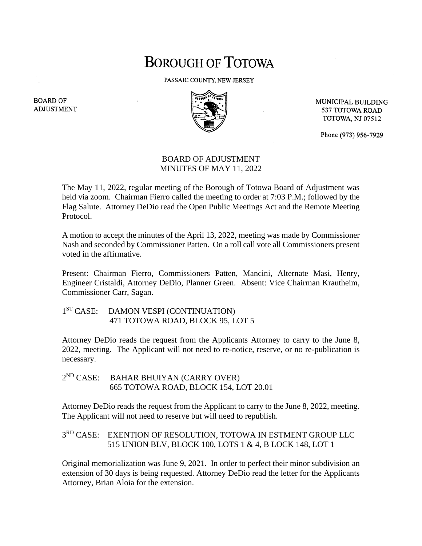## **BOROUGH OF TOTOWA**

PASSAIC COUNTY, NEW JERSEY



MUNICIPAL BUILDING 537 TOTOWA ROAD **TOTOWA, NJ 07512** 

Phone (973) 956-7929

## BOARD OF ADJUSTMENT MINUTES OF MAY 11, 2022

The May 11, 2022, regular meeting of the Borough of Totowa Board of Adjustment was held via zoom. Chairman Fierro called the meeting to order at 7:03 P.M.; followed by the Flag Salute. Attorney DeDio read the Open Public Meetings Act and the Remote Meeting Protocol.

A motion to accept the minutes of the April 13, 2022, meeting was made by Commissioner Nash and seconded by Commissioner Patten. On a roll call vote all Commissioners present voted in the affirmative.

Present: Chairman Fierro, Commissioners Patten, Mancini, Alternate Masi, Henry, Engineer Cristaldi, Attorney DeDio, Planner Green. Absent: Vice Chairman Krautheim, Commissioner Carr, Sagan.

## 1<sup>ST</sup> CASE: DAMON VESPI (CONTINUATION) 471 TOTOWA ROAD, BLOCK 95, LOT 5

Attorney DeDio reads the request from the Applicants Attorney to carry to the June 8, 2022, meeting. The Applicant will not need to re-notice, reserve, or no re-publication is necessary.

 $2^{ND}$  CASE: BAHAR BHUIYAN (CARRY OVER) 665 TOTOWA ROAD, BLOCK 154, LOT 20.01

Attorney DeDio reads the request from the Applicant to carry to the June 8, 2022, meeting. The Applicant will not need to reserve but will need to republish.

## 3<sup>RD</sup> CASE: EXENTION OF RESOLUTION, TOTOWA IN ESTMENT GROUP LLC 515 UNION BLV, BLOCK 100, LOTS 1 & 4, B LOCK 148, LOT 1

Original memorialization was June 9, 2021. In order to perfect their minor subdivision an extension of 30 days is being requested. Attorney DeDio read the letter for the Applicants Attorney, Brian Aloia for the extension.

**BOARD OF ADJUSTMENT**